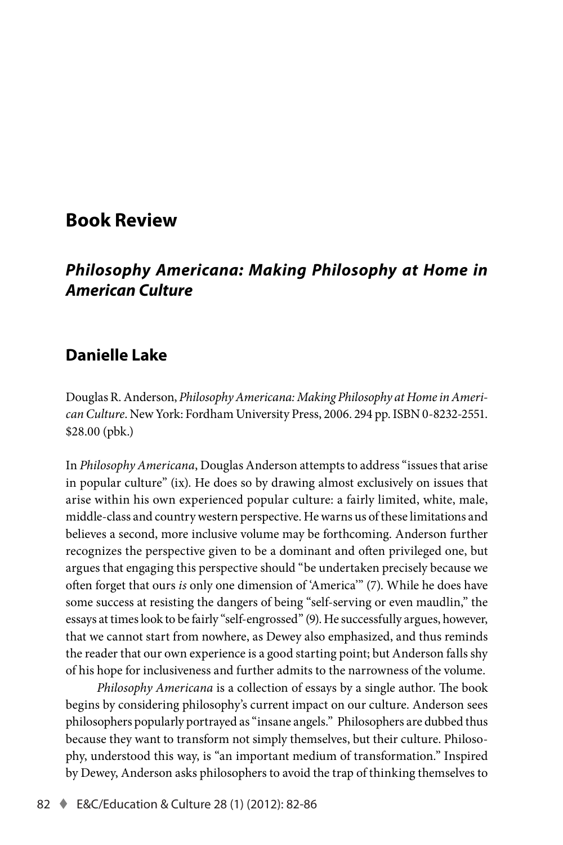# **Book Review**

## *Philosophy Americana: Making Philosophy at Home in American Culture*

## **Danielle Lake**

Douglas R. Anderson, *Philosophy Americana: Making Philosophy at Home in American Culture*. New York: Fordham University Press, 2006. 294 pp. ISBN 0-8232-2551. \$28.00 (pbk.)

In *Philosophy Americana*, Douglas Anderson attempts to address "issues that arise in popular culture" (ix). He does so by drawing almost exclusively on issues that arise within his own experienced popular culture: a fairly limited, white, male, middle-class and country western perspective. He warns us of these limitations and believes a second, more inclusive volume may be forthcoming. Anderson further recognizes the perspective given to be a dominant and often privileged one, but argues that engaging this perspective should "be undertaken precisely because we often forget that ours *is* only one dimension of 'America'" (7). While he does have some success at resisting the dangers of being "self-serving or even maudlin," the essays at times look to be fairly "self-engrossed" (9). He successfully argues, however, that we cannot start from nowhere, as Dewey also emphasized, and thus reminds the reader that our own experience is a good starting point; but Anderson falls shy of his hope for inclusiveness and further admits to the narrowness of the volume.

*Philosophy Americana* is a collection of essays by a single author. The book begins by considering philosophy's current impact on our culture. Anderson sees philosophers popularly portrayed as "insane angels." Philosophers are dubbed thus because they want to transform not simply themselves, but their culture. Philosophy, understood this way, is "an important medium of transformation." Inspired by Dewey, Anderson asks philosophers to avoid the trap of thinking themselves to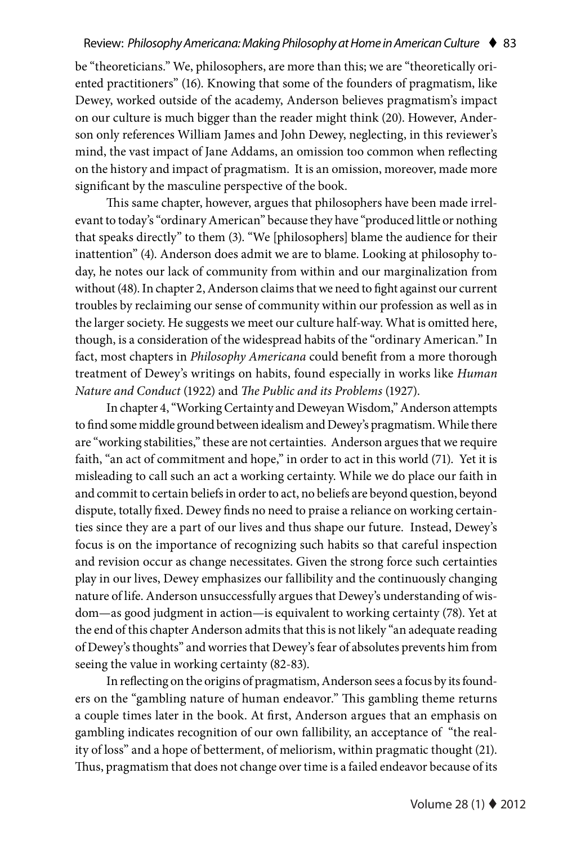be "theoreticians." We, philosophers, are more than this; we are "theoretically oriented practitioners" (16). Knowing that some of the founders of pragmatism, like Dewey, worked outside of the academy, Anderson believes pragmatism's impact on our culture is much bigger than the reader might think (20). However, Anderson only references William James and John Dewey, neglecting, in this reviewer's mind, the vast impact of Jane Addams, an omission too common when reflecting on the history and impact of pragmatism. It is an omission, moreover, made more significant by the masculine perspective of the book.

This same chapter, however, argues that philosophers have been made irrelevant to today's "ordinary American" because they have "produced little or nothing that speaks directly" to them (3). "We [philosophers] blame the audience for their inattention" (4). Anderson does admit we are to blame. Looking at philosophy today, he notes our lack of community from within and our marginalization from without (48). In chapter 2, Anderson claims that we need to fight against our current troubles by reclaiming our sense of community within our profession as well as in the larger society. He suggests we meet our culture half-way. What is omitted here, though, is a consideration of the widespread habits of the "ordinary American." In fact, most chapters in *Philosophy Americana* could benefit from a more thorough treatment of Dewey's writings on habits, found especially in works like *Human Nature and Conduct* (1922) and *The Public and its Problems* (1927).

In chapter 4, "Working Certainty and Deweyan Wisdom," Anderson attempts to find some middle ground between idealism and Dewey's pragmatism. While there are "working stabilities," these are not certainties. Anderson argues that we require faith, "an act of commitment and hope," in order to act in this world (71). Yet it is misleading to call such an act a working certainty. While we do place our faith in and commit to certain beliefs in order to act, no beliefs are beyond question, beyond dispute, totally fixed. Dewey finds no need to praise a reliance on working certainties since they are a part of our lives and thus shape our future. Instead, Dewey's focus is on the importance of recognizing such habits so that careful inspection and revision occur as change necessitates. Given the strong force such certainties play in our lives, Dewey emphasizes our fallibility and the continuously changing nature of life. Anderson unsuccessfully argues that Dewey's understanding of wisdom—as good judgment in action—is equivalent to working certainty (78). Yet at the end of this chapter Anderson admits that this is not likely "an adequate reading of Dewey's thoughts" and worries that Dewey's fear of absolutes prevents him from seeing the value in working certainty (82-83).

In reflecting on the origins of pragmatism, Anderson sees a focus by its founders on the "gambling nature of human endeavor." This gambling theme returns a couple times later in the book. At first, Anderson argues that an emphasis on gambling indicates recognition of our own fallibility, an acceptance of "the reality of loss" and a hope of betterment, of meliorism, within pragmatic thought (21). Thus, pragmatism that does not change over time is a failed endeavor because of its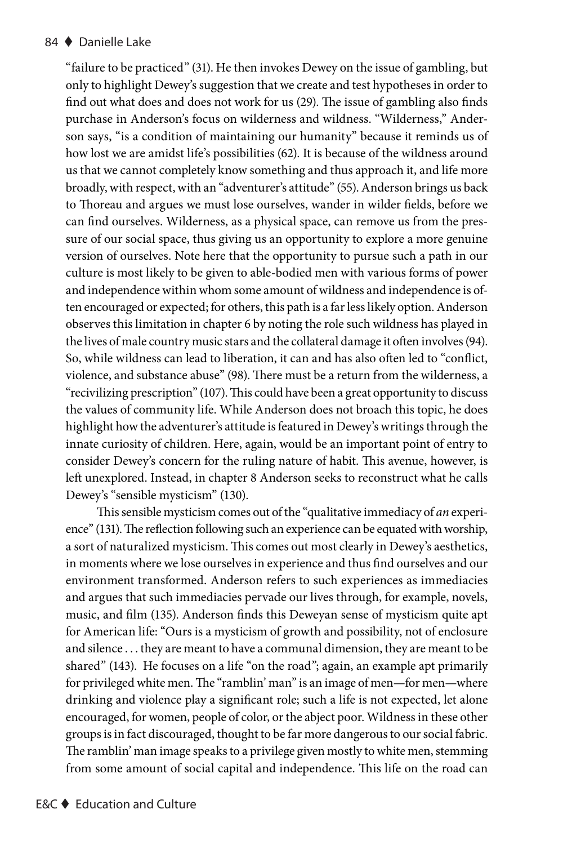#### 84 ◆ Danielle Lake

"failure to be practiced" (31). He then invokes Dewey on the issue of gambling, but only to highlight Dewey's suggestion that we create and test hypotheses in order to find out what does and does not work for us (29). The issue of gambling also finds purchase in Anderson's focus on wilderness and wildness. "Wilderness," Anderson says, "is a condition of maintaining our humanity" because it reminds us of how lost we are amidst life's possibilities (62). It is because of the wildness around us that we cannot completely know something and thus approach it, and life more broadly, with respect, with an "adventurer's attitude" (55). Anderson brings us back to Thoreau and argues we must lose ourselves, wander in wilder fields, before we can find ourselves. Wilderness, as a physical space, can remove us from the pressure of our social space, thus giving us an opportunity to explore a more genuine version of ourselves. Note here that the opportunity to pursue such a path in our culture is most likely to be given to able-bodied men with various forms of power and independence within whom some amount of wildness and independence is often encouraged or expected; for others, this path is a far less likely option. Anderson observes this limitation in chapter 6 by noting the role such wildness has played in the lives of male country music stars and the collateral damage it often involves (94). So, while wildness can lead to liberation, it can and has also often led to "conflict, violence, and substance abuse" (98). There must be a return from the wilderness, a "recivilizing prescription" (107). This could have been a great opportunity to discuss the values of community life. While Anderson does not broach this topic, he does highlight how the adventurer's attitude is featured in Dewey's writings through the innate curiosity of children. Here, again, would be an important point of entry to consider Dewey's concern for the ruling nature of habit. This avenue, however, is left unexplored. Instead, in chapter 8 Anderson seeks to reconstruct what he calls Dewey's "sensible mysticism" (130).

This sensible mysticism comes out of the "qualitative immediacy of *an* experience" (131). The reflection following such an experience can be equated with worship, a sort of naturalized mysticism. This comes out most clearly in Dewey's aesthetics, in moments where we lose ourselves in experience and thus find ourselves and our environment transformed. Anderson refers to such experiences as immediacies and argues that such immediacies pervade our lives through, for example, novels, music, and film (135). Anderson finds this Deweyan sense of mysticism quite apt for American life: "Ours is a mysticism of growth and possibility, not of enclosure and silence . . . they are meant to have a communal dimension, they are meant to be shared" (143). He focuses on a life "on the road"; again, an example apt primarily for privileged white men. The "ramblin' man" is an image of men—for men—where drinking and violence play a significant role; such a life is not expected, let alone encouraged, for women, people of color, or the abject poor. Wildness in these other groups is in fact discouraged, thought to be far more dangerous to our social fabric. The ramblin' man image speaks to a privilege given mostly to white men, stemming from some amount of social capital and independence. This life on the road can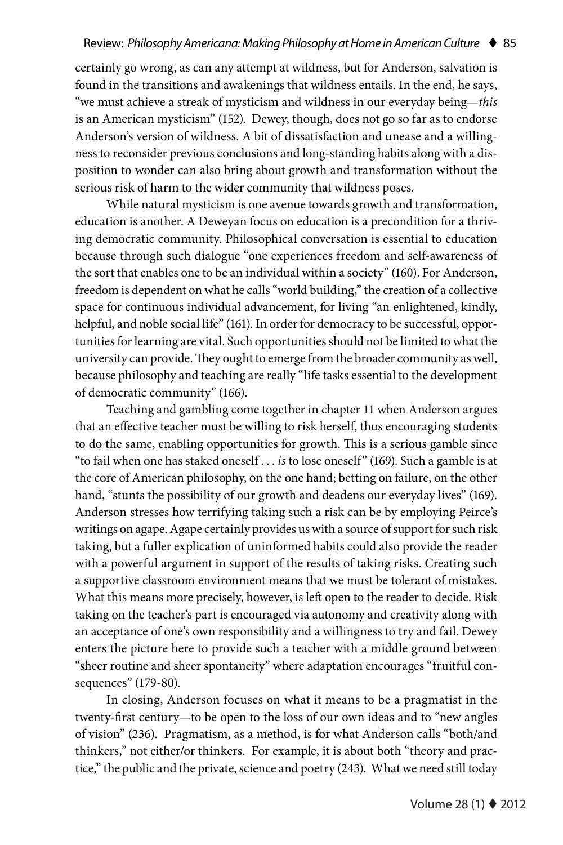certainly go wrong, as can any attempt at wildness, but for Anderson, salvation is found in the transitions and awakenings that wildness entails. In the end, he says, "we must achieve a streak of mysticism and wildness in our everyday being—*this*  is an American mysticism" (152). Dewey, though, does not go so far as to endorse Anderson's version of wildness. A bit of dissatisfaction and unease and a willingness to reconsider previous conclusions and long-standing habits along with a disposition to wonder can also bring about growth and transformation without the serious risk of harm to the wider community that wildness poses.

While natural mysticism is one avenue towards growth and transformation, education is another. A Deweyan focus on education is a precondition for a thriving democratic community. Philosophical conversation is essential to education because through such dialogue "one experiences freedom and self-awareness of the sort that enables one to be an individual within a society" (160). For Anderson, freedom is dependent on what he calls "world building," the creation of a collective space for continuous individual advancement, for living "an enlightened, kindly, helpful, and noble social life" (161). In order for democracy to be successful, opportunities for learning are vital. Such opportunities should not be limited to what the university can provide. They ought to emerge from the broader community as well, because philosophy and teaching are really "life tasks essential to the development of democratic community" (166).

Teaching and gambling come together in chapter 11 when Anderson argues that an effective teacher must be willing to risk herself, thus encouraging students to do the same, enabling opportunities for growth. This is a serious gamble since "to fail when one has staked oneself . . . *is* to lose oneself" (169). Such a gamble is at the core of American philosophy, on the one hand; betting on failure, on the other hand, "stunts the possibility of our growth and deadens our everyday lives" (169). Anderson stresses how terrifying taking such a risk can be by employing Peirce's writings on agape. Agape certainly provides us with a source of support for such risk taking, but a fuller explication of uninformed habits could also provide the reader with a powerful argument in support of the results of taking risks. Creating such a supportive classroom environment means that we must be tolerant of mistakes. What this means more precisely, however, is left open to the reader to decide. Risk taking on the teacher's part is encouraged via autonomy and creativity along with an acceptance of one's own responsibility and a willingness to try and fail. Dewey enters the picture here to provide such a teacher with a middle ground between "sheer routine and sheer spontaneity" where adaptation encourages "fruitful consequences" (179-80).

In closing, Anderson focuses on what it means to be a pragmatist in the twenty-first century—to be open to the loss of our own ideas and to "new angles of vision" (236). Pragmatism, as a method, is for what Anderson calls "both/and thinkers," not either/or thinkers. For example, it is about both "theory and practice," the public and the private, science and poetry (243). What we need still today